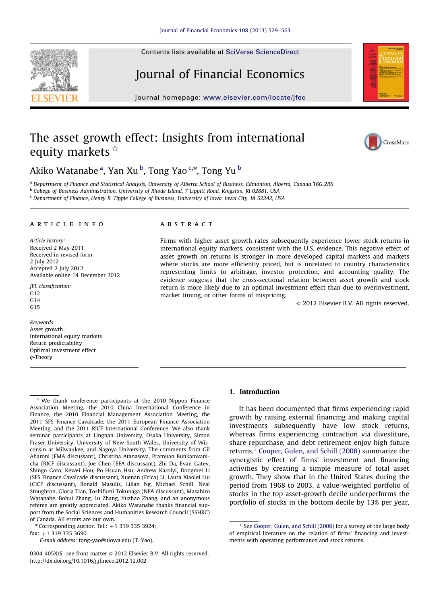Contents lists available at [SciVerse ScienceDirect](www.elsevier.com/locate/jfec)

## Journal of Financial Economics

journal homepage: <www.elsevier.com/locate/jfec>

## The asset growth effect: Insights from international equity markets  $*$



Akiko Watanabe <sup>a</sup>, Yan Xu <sup>b</sup>, Tong Yao <sup>c,</sup>\*, Tong Yu <sup>b</sup>

a Department of Finance and Statistical Analysis, University of Alberta School of Business, Edmonton, Alberta, Canada T6G 2R6

<sup>b</sup> College of Business Administration, University of Rhode Island, 7 Lippitt Road, Kingston, RI 02881, USA

<sup>c</sup> Department of Finance, Henry B. Tippie College of Business, University of Iowa, Iowa City, IA 52242, USA

#### article info

Article history: Received 2 May 2011 Received in revised form 2 July 2012 Accepted 2 July 2012 Available online 14 December 2012

JEL classification: G12  $G<sub>14</sub>$  $G15$ 

Keywords: Asset growth International equity markets Return predictability Optimal investment effect q-Theory

#### **ABSTRACT**

Firms with higher asset growth rates subsequently experience lower stock returns in international equity markets, consistent with the U.S. evidence. This negative effect of asset growth on returns is stronger in more developed capital markets and markets where stocks are more efficiently priced, but is unrelated to country characteristics representing limits to arbitrage, investor protection, and accounting quality. The evidence suggests that the cross-sectional relation between asset growth and stock return is more likely due to an optimal investment effect than due to overinvestment, market timing, or other forms of mispricing.

 $\odot$  2012 Elsevier B.V. All rights reserved.

 $*$  We thank conference participants at the 2010 Nippon Finance Association Meeting, the 2010 China International Conference in Finance, the 2010 Financial Management Association Meeting, the 2011 SFS Finance Cavalcade, the 2011 European Finance Association Meeting, and the 2011 RICF International Conference. We also thank seminar participants at Lingnan University, Osaka University, Simon Fraser University, University of New South Wales, University of Wisconsin at Milwaukee, and Nagoya University. The comments from Gil Aharoni (FMA discussant), Christina Atanasova, Pramuan Bunkanwanicha (RICF discussant), Joe Chen (EFA discussant), Zhi Da, Evan Gatev, Shingo Goto, Kewei Hou, Po-Hsuan Hsu, Andrew Karolyi, Dongmei Li (SFS Finance Cavalcade discussant), Xuenan (Erica) Li, Laura Xiaolei Liu (CICF discussant), Ronald Masulis, Lilian Ng, Michael Schill, Neal Stoughton, Gloria Tian, Toshifumi Tokunaga (NFA discussant), Masahiro Watanabe, Bohui Zhang, Lu Zhang, Yuzhao Zhang, and an anonymous referee are greatly appreciated. Akiko Watanabe thanks financial support from the Social Sciences and Humanities Research Council (SSHRC) of Canada. All errors are our own.

fax:  $+1$  319 335 3690.

E-mail address: [tong-yao@uiowa.edu \(T. Yao\)](mailto:tong-yao@uiowa.edu).

### 1. Introduction

It has been documented that firms experiencing rapid growth by raising external financing and making capital investments subsequently have low stock returns, whereas firms experiencing contraction via divestiture, share repurchase, and debt retirement enjoy high future returns.<sup>1</sup> [Cooper, Gulen, and Schill \(2008\)](#page--1-0) summarize the synergistic effect of firms' investment and financing activities by creating a simple measure of total asset growth. They show that in the United States during the period from 1968 to 2003, a value-weighted portfolio of stocks in the top asset-growth decile underperforms the portfolio of stocks in the bottom decile by 13% per year,



 $*$  Corresponding author. Tel.:  $+1$  319 335 3924;

<sup>0304-405</sup>X/\$ - see front matter  $\odot$  2012 Elsevier B.V. All rights reserved. <http://dx.doi.org/10.1016/j.jfineco.2012.12.002>

 $1$  See [Cooper, Gulen, and Schill \(2008\)](#page--1-0) for a survey of the large body of empirical literature on the relation of firms' financing and investments with operating performance and stock returns.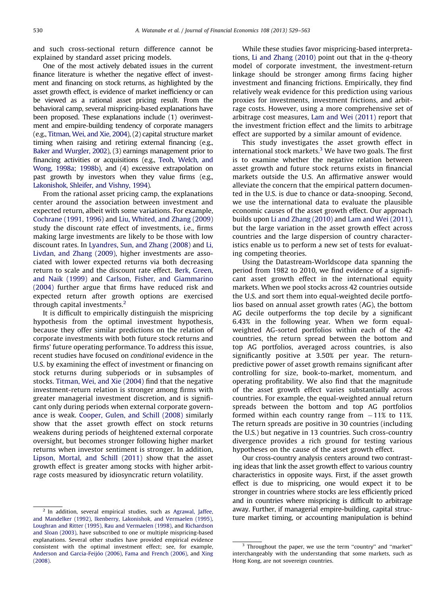and such cross-sectional return difference cannot be explained by standard asset pricing models.

One of the most actively debated issues in the current finance literature is whether the negative effect of investment and financing on stock returns, as highlighted by the asset growth effect, is evidence of market inefficiency or can be viewed as a rational asset pricing result. From the behavioral camp, several mispricing-based explanations have been proposed. These explanations include (1) overinvestment and empire-building tendency of corporate managers (e.g., [Titman, Wei, and Xie, 2004](#page--1-0)), (2) capital structure market timing when raising and retiring external financing (e.g., [Baker and Wurgler, 2002\)](#page--1-0), (3) earnings management prior to financing activities or acquisitions (e.g., [Teoh, Welch, and](#page--1-0) [Wong, 1998a;](#page--1-0) [1998b\)](#page--1-0), and (4) excessive extrapolation on past growth by investors when they value firms (e.g., [Lakonishok, Shleifer, and Vishny, 1994](#page--1-0)).

From the rational asset pricing camp, the explanations center around the association between investment and expected return, albeit with some variations. For example, [Cochrane \(1991](#page--1-0), [1996\)](#page--1-0) and [Liu, Whited, and Zhang \(2009\)](#page--1-0) study the discount rate effect of investments, i.e., firms making large investments are likely to be those with low discount rates. In [Lyandres, Sun, and Zhang \(2008\)](#page--1-0) and [Li,](#page--1-0) [Livdan, and Zhang \(2009\)](#page--1-0), higher investments are associated with lower expected returns via both decreasing return to scale and the discount rate effect. [Berk, Green,](#page--1-0) [and Naik \(1999\)](#page--1-0) and [Carlson, Fisher, and Giammarino](#page--1-0) [\(2004\)](#page--1-0) further argue that firms have reduced risk and expected return after growth options are exercised through capital investments.<sup>2</sup>

It is difficult to empirically distinguish the mispricing hypothesis from the optimal investment hypothesis, because they offer similar predictions on the relation of corporate investments with both future stock returns and firms' future operating performance. To address this issue, recent studies have focused on conditional evidence in the U.S. by examining the effect of investment or financing on stock returns during subperiods or in subsamples of stocks. [Titman, Wei, and Xie \(2004\)](#page--1-0) find that the negative investment-return relation is stronger among firms with greater managerial investment discretion, and is significant only during periods when external corporate governance is weak. [Cooper, Gulen, and Schill \(2008\)](#page--1-0) similarly show that the asset growth effect on stock returns weakens during periods of heightened external corporate oversight, but becomes stronger following higher market returns when investor sentiment is stronger. In addition, [Lipson, Mortal, and Schill \(2011\)](#page--1-0) show that the asset growth effect is greater among stocks with higher arbitrage costs measured by idiosyncratic return volatility.

While these studies favor mispricing-based interpretations, [Li and Zhang \(2010\)](#page--1-0) point out that in the q-theory model of corporate investment, the investment-return linkage should be stronger among firms facing higher investment and financing frictions. Empirically, they find relatively weak evidence for this prediction using various proxies for investments, investment frictions, and arbitrage costs. However, using a more comprehensive set of arbitrage cost measures, [Lam and Wei \(2011\)](#page--1-0) report that the investment friction effect and the limits to arbitrage effect are supported by a similar amount of evidence.

This study investigates the asset growth effect in international stock markets. $3$  We have two goals. The first is to examine whether the negative relation between asset growth and future stock returns exists in financial markets outside the U.S. An affirmative answer would alleviate the concern that the empirical pattern documented in the U.S. is due to chance or data-snooping. Second, we use the international data to evaluate the plausible economic causes of the asset growth effect. Our approach builds upon [Li and Zhang \(2010\)](#page--1-0) and [Lam and Wei \(2011\)](#page--1-0), but the large variation in the asset growth effect across countries and the large dispersion of country characteristics enable us to perform a new set of tests for evaluating competing theories.

Using the Datastream-Worldscope data spanning the period from 1982 to 2010, we find evidence of a significant asset growth effect in the international equity markets. When we pool stocks across 42 countries outside the U.S. and sort them into equal-weighted decile portfolios based on annual asset growth rates (AG), the bottom AG decile outperforms the top decile by a significant 6.43% in the following year. When we form equalweighted AG-sorted portfolios within each of the 42 countries, the return spread between the bottom and top AG portfolios, averaged across countries, is also significantly positive at 3.50% per year. The returnpredictive power of asset growth remains significant after controlling for size, book-to-market, momentum, and operating profitability. We also find that the magnitude of the asset growth effect varies substantially across countries. For example, the equal-weighted annual return spreads between the bottom and top AG portfolios formed within each country range from  $-11\%$  to 11%. The return spreads are positive in 30 countries (including the U.S.) but negative in 13 countries. Such cross-country divergence provides a rich ground for testing various hypotheses on the cause of the asset growth effect.

Our cross-country analysis centers around two contrasting ideas that link the asset growth effect to various country characteristics in opposite ways. First, if the asset growth effect is due to mispricing, one would expect it to be stronger in countries where stocks are less efficiently priced and in countries where mispricing is difficult to arbitrage away. Further, if managerial empire-building, capital structure market timing, or accounting manipulation is behind

 $2$  In addition, several empirical studies, such as [Agrawal, Jaffee,](#page--1-0) [and Mandelker \(1992\),](#page--1-0) [Ikenberry, Lakonishok, and Vermaelen \(1995\),](#page--1-0) [Loughran and Ritter \(1995\),](#page--1-0) [Rau and Vermaelen \(1998\),](#page--1-0) and [Richardson](#page--1-0) [and Sloan \(2003\),](#page--1-0) have subscribed to one or multiple mispricing-based explanations. Several other studies have provided empirical evidence consistent with the optimal investment effect; see, for example, Anderson and Garcia-Feijóo (2006), [Fama and French \(2006\)](#page--1-0), and [Xing](#page--1-0) [\(2008\)](#page--1-0).

Throughout the paper, we use the term "country" and "market" interchangeably with the understanding that some markets, such as Hong Kong, are not sovereign countries.